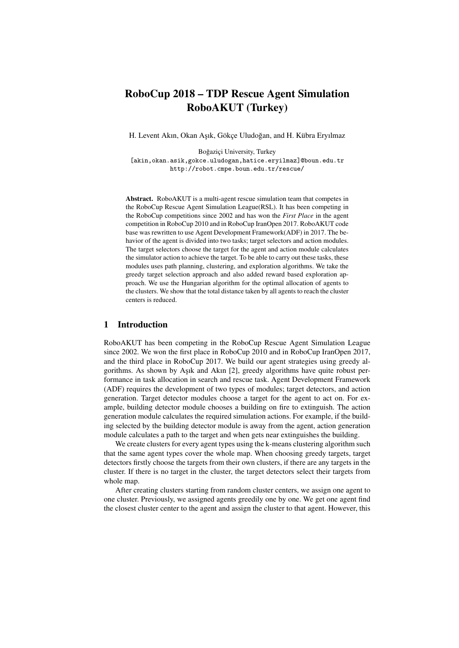# RoboCup 2018 – TDP Rescue Agent Simulation RoboAKUT (Turkey)

H. Levent Akın, Okan Aşık, Gökçe Uludoğan, and H. Kübra Eryılmaz

Boğaziçi University, Turkey [akin,okan.asik,gokce.uludogan,hatice.eryilmaz]@boun.edu.tr <http://robot.cmpe.boun.edu.tr/rescue/>

Abstract. RoboAKUT is a multi-agent rescue simulation team that competes in the RoboCup Rescue Agent Simulation League(RSL). It has been competing in the RoboCup competitions since 2002 and has won the *First Place* in the agent competition in RoboCup 2010 and in RoboCup IranOpen 2017. RoboAKUT code base was rewritten to use Agent Development Framework(ADF) in 2017. The behavior of the agent is divided into two tasks; target selectors and action modules. The target selectors choose the target for the agent and action module calculates the simulator action to achieve the target. To be able to carry out these tasks, these modules uses path planning, clustering, and exploration algorithms. We take the greedy target selection approach and also added reward based exploration approach. We use the Hungarian algorithm for the optimal allocation of agents to the clusters. We show that the total distance taken by all agents to reach the cluster centers is reduced.

# 1 Introduction

RoboAKUT has been competing in the RoboCup Rescue Agent Simulation League since 2002. We won the first place in RoboCup 2010 and in RoboCup IranOpen 2017, and the third place in RoboCup 2017. We build our agent strategies using greedy algorithms. As shown by Asik and Akin  $[2]$ , greedy algorithms have quite robust performance in task allocation in search and rescue task. Agent Development Framework (ADF) requires the development of two types of modules; target detectors, and action generation. Target detector modules choose a target for the agent to act on. For example, building detector module chooses a building on fire to extinguish. The action generation module calculates the required simulation actions. For example, if the building selected by the building detector module is away from the agent, action generation module calculates a path to the target and when gets near extinguishes the building.

We create clusters for every agent types using the k-means clustering algorithm such that the same agent types cover the whole map. When choosing greedy targets, target detectors firstly choose the targets from their own clusters, if there are any targets in the cluster. If there is no target in the cluster, the target detectors select their targets from whole map.

After creating clusters starting from random cluster centers, we assign one agent to one cluster. Previously, we assigned agents greedily one by one. We get one agent find the closest cluster center to the agent and assign the cluster to that agent. However, this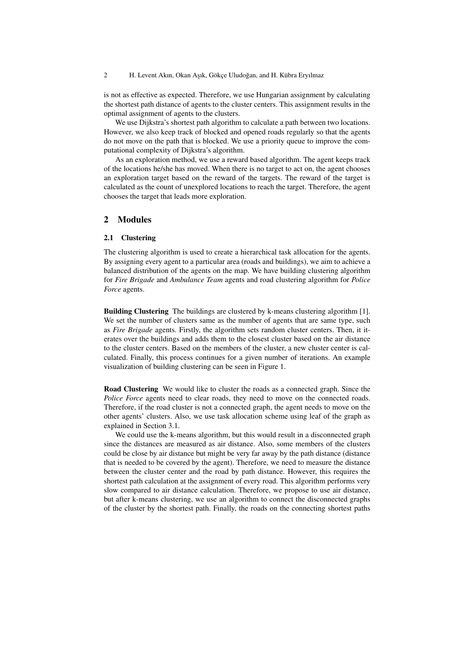2 H. Levent Akın, Okan Aşık, Gökçe Uludoğan, and H. Kübra Eryılmaz

is not as effective as expected. Therefore, we use Hungarian assignment by calculating the shortest path distance of agents to the cluster centers. This assignment results in the optimal assignment of agents to the clusters.

We use Dijkstra's shortest path algorithm to calculate a path between two locations. However, we also keep track of blocked and opened roads regularly so that the agents do not move on the path that is blocked. We use a priority queue to improve the computational complexity of Dijkstra's algorithm.

As an exploration method, we use a reward based algorithm. The agent keeps track of the locations he/she has moved. When there is no target to act on, the agent chooses an exploration target based on the reward of the targets. The reward of the target is calculated as the count of unexplored locations to reach the target. Therefore, the agent chooses the target that leads more exploration.

## 2 Modules

#### 2.1 Clustering

The clustering algorithm is used to create a hierarchical task allocation for the agents. By assigning every agent to a particular area (roads and buildings), we aim to achieve a balanced distribution of the agents on the map. We have building clustering algorithm for *Fire Brigade* and *Ambulance Team* agents and road clustering algorithm for *Police Force* agents.

Building Clustering The buildings are clustered by k-means clustering algorithm [\[1\]](#page-7-1). We set the number of clusters same as the number of agents that are same type, such as *Fire Brigade* agents. Firstly, the algorithm sets random cluster centers. Then, it iterates over the buildings and adds them to the closest cluster based on the air distance to the cluster centers. Based on the members of the cluster, a new cluster center is calculated. Finally, this process continues for a given number of iterations. An example visualization of building clustering can be seen in Figure [1.](#page-2-0)

Road Clustering We would like to cluster the roads as a connected graph. Since the *Police Force* agents need to clear roads, they need to move on the connected roads. Therefore, if the road cluster is not a connected graph, the agent needs to move on the other agents' clusters. Also, we use task allocation scheme using leaf of the graph as explained in Section [3.1.](#page-4-0)

We could use the k-means algorithm, but this would result in a disconnected graph since the distances are measured as air distance. Also, some members of the clusters could be close by air distance but might be very far away by the path distance (distance that is needed to be covered by the agent). Therefore, we need to measure the distance between the cluster center and the road by path distance. However, this requires the shortest path calculation at the assignment of every road. This algorithm performs very slow compared to air distance calculation. Therefore, we propose to use air distance, but after k-means clustering, we use an algorithm to connect the disconnected graphs of the cluster by the shortest path. Finally, the roads on the connecting shortest paths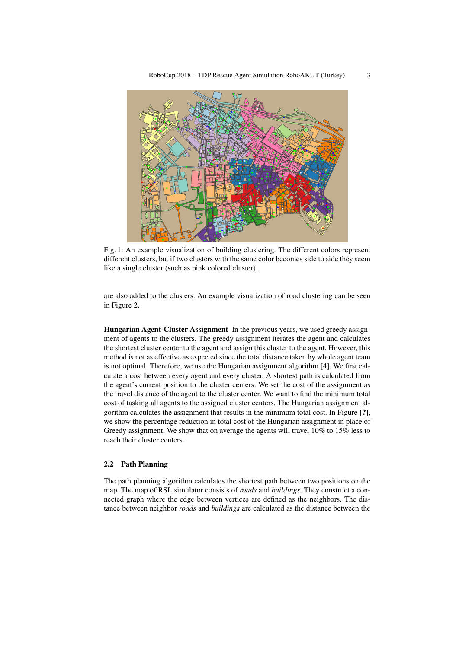<span id="page-2-0"></span>

Fig. 1: An example visualization of building clustering. The different colors represent different clusters, but if two clusters with the same color becomes side to side they seem like a single cluster (such as pink colored cluster).

are also added to the clusters. An example visualization of road clustering can be seen in Figure [2.](#page-3-0)

Hungarian Agent-Cluster Assignment In the previous years, we used greedy assignment of agents to the clusters. The greedy assignment iterates the agent and calculates the shortest cluster center to the agent and assign this cluster to the agent. However, this method is not as effective as expected since the total distance taken by whole agent team is not optimal. Therefore, we use the Hungarian assignment algorithm [\[4\]](#page-7-2). We first calculate a cost between every agent and every cluster. A shortest path is calculated from the agent's current position to the cluster centers. We set the cost of the assignment as the travel distance of the agent to the cluster center. We want to find the minimum total cost of tasking all agents to the assigned cluster centers. The Hungarian assignment algorithm calculates the assignment that results in the minimum total cost. In Figure [?], we show the percentage reduction in total cost of the Hungarian assignment in place of Greedy assignment. We show that on average the agents will travel 10% to 15% less to reach their cluster centers.

### 2.2 Path Planning

The path planning algorithm calculates the shortest path between two positions on the map. The map of RSL simulator consists of *roads* and *buildings*. They construct a connected graph where the edge between vertices are defined as the neighbors. The distance between neighbor *roads* and *buildings* are calculated as the distance between the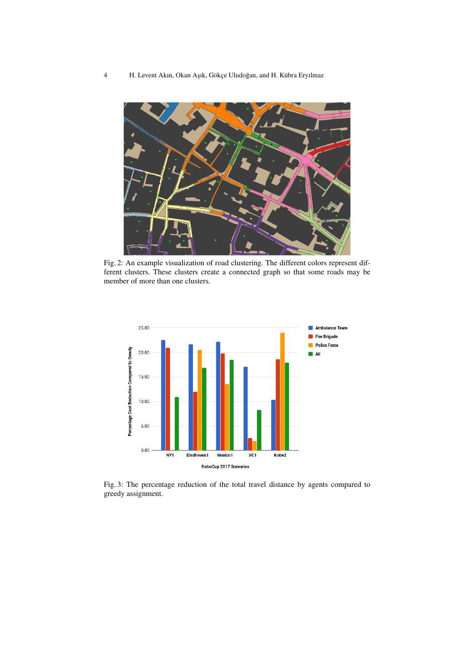<span id="page-3-0"></span>

Fig. 2: An example visualization of road clustering. The different colors represent different clusters. These clusters create a connected graph so that some roads may be member of more than one clusters.



Fig. 3: The percentage reduction of the total travel distance by agents compared to greedy assignment.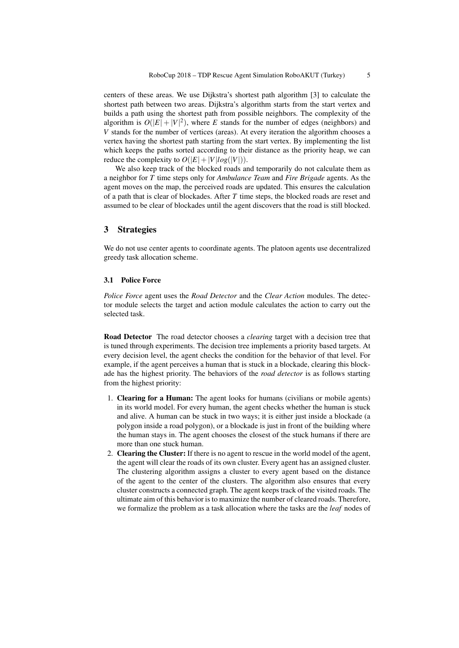centers of these areas. We use Dijkstra's shortest path algorithm [\[3\]](#page-7-3) to calculate the shortest path between two areas. Dijkstra's algorithm starts from the start vertex and builds a path using the shortest path from possible neighbors. The complexity of the algorithm is  $O(|E| + |V|^2)$ , where *E* stands for the number of edges (neighbors) and *V* stands for the number of vertices (areas). At every iteration the algorithm chooses a vertex having the shortest path starting from the start vertex. By implementing the list which keeps the paths sorted according to their distance as the priority heap, we can reduce the complexity to  $O(|E|+|V|log(|V|)).$ 

We also keep track of the blocked roads and temporarily do not calculate them as a neighbor for *T* time steps only for *Ambulance Team* and *Fire Brigade* agents. As the agent moves on the map, the perceived roads are updated. This ensures the calculation of a path that is clear of blockades. After *T* time steps, the blocked roads are reset and assumed to be clear of blockades until the agent discovers that the road is still blocked.

# 3 Strategies

We do not use center agents to coordinate agents. The platoon agents use decentralized greedy task allocation scheme.

#### 3.1 Police Force

*Police Force* agent uses the *Road Detector* and the *Clear Action* modules. The detector module selects the target and action module calculates the action to carry out the selected task.

<span id="page-4-0"></span>Road Detector The road detector chooses a *clearing* target with a decision tree that is tuned through experiments. The decision tree implements a priority based targets. At every decision level, the agent checks the condition for the behavior of that level. For example, if the agent perceives a human that is stuck in a blockade, clearing this blockade has the highest priority. The behaviors of the *road detector* is as follows starting from the highest priority:

- 1. Clearing for a Human: The agent looks for humans (civilians or mobile agents) in its world model. For every human, the agent checks whether the human is stuck and alive. A human can be stuck in two ways; it is either just inside a blockade (a polygon inside a road polygon), or a blockade is just in front of the building where the human stays in. The agent chooses the closest of the stuck humans if there are more than one stuck human.
- 2. Clearing the Cluster: If there is no agent to rescue in the world model of the agent, the agent will clear the roads of its own cluster. Every agent has an assigned cluster. The clustering algorithm assigns a cluster to every agent based on the distance of the agent to the center of the clusters. The algorithm also ensures that every cluster constructs a connected graph. The agent keeps track of the visited roads. The ultimate aim of this behavior is to maximize the number of cleared roads. Therefore, we formalize the problem as a task allocation where the tasks are the *leaf* nodes of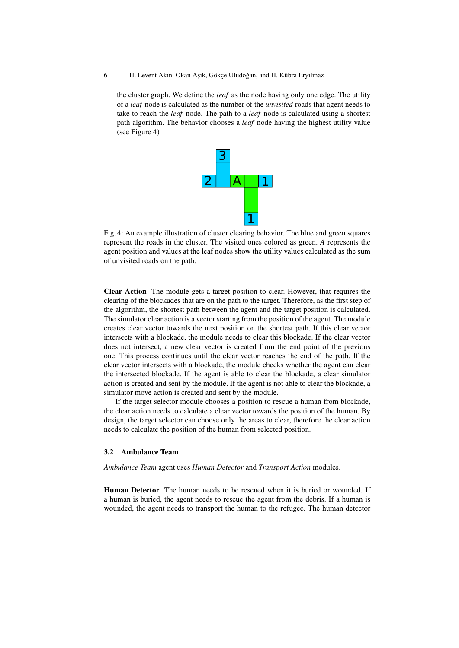#### 6 H. Levent Akın, Okan Aşık, Gökçe Uludoğan, and H. Kübra Eryılmaz

<span id="page-5-0"></span>the cluster graph. We define the *leaf* as the node having only one edge. The utility of a *leaf* node is calculated as the number of the *unvisited* roads that agent needs to take to reach the *leaf* node. The path to a *leaf* node is calculated using a shortest path algorithm. The behavior chooses a *leaf* node having the highest utility value (see Figure [4\)](#page-5-0)



Fig. 4: An example illustration of cluster clearing behavior. The blue and green squares represent the roads in the cluster. The visited ones colored as green. *A* represents the agent position and values at the leaf nodes show the utility values calculated as the sum of unvisited roads on the path.

Clear Action The module gets a target position to clear. However, that requires the clearing of the blockades that are on the path to the target. Therefore, as the first step of the algorithm, the shortest path between the agent and the target position is calculated. The simulator clear action is a vector starting from the position of the agent. The module creates clear vector towards the next position on the shortest path. If this clear vector intersects with a blockade, the module needs to clear this blockade. If the clear vector does not intersect, a new clear vector is created from the end point of the previous one. This process continues until the clear vector reaches the end of the path. If the clear vector intersects with a blockade, the module checks whether the agent can clear the intersected blockade. If the agent is able to clear the blockade, a clear simulator action is created and sent by the module. If the agent is not able to clear the blockade, a simulator move action is created and sent by the module.

If the target selector module chooses a position to rescue a human from blockade, the clear action needs to calculate a clear vector towards the position of the human. By design, the target selector can choose only the areas to clear, therefore the clear action needs to calculate the position of the human from selected position.

## 3.2 Ambulance Team

*Ambulance Team* agent uses *Human Detector* and *Transport Action* modules.

Human Detector The human needs to be rescued when it is buried or wounded. If a human is buried, the agent needs to rescue the agent from the debris. If a human is wounded, the agent needs to transport the human to the refugee. The human detector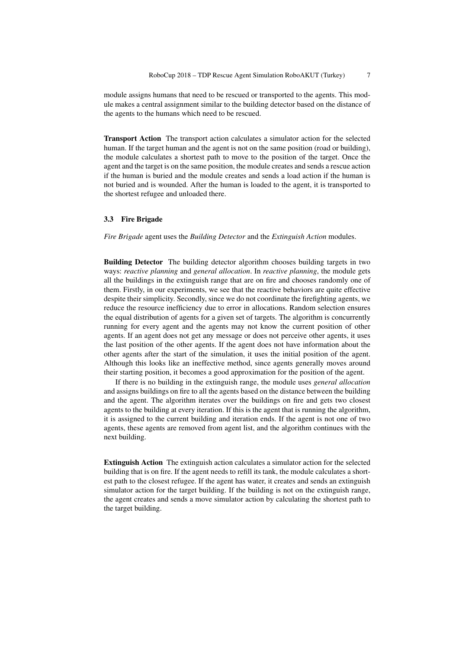module assigns humans that need to be rescued or transported to the agents. This module makes a central assignment similar to the building detector based on the distance of the agents to the humans which need to be rescued.

Transport Action The transport action calculates a simulator action for the selected human. If the target human and the agent is not on the same position (road or building), the module calculates a shortest path to move to the position of the target. Once the agent and the target is on the same position, the module creates and sends a rescue action if the human is buried and the module creates and sends a load action if the human is not buried and is wounded. After the human is loaded to the agent, it is transported to the shortest refugee and unloaded there.

## 3.3 Fire Brigade

*Fire Brigade* agent uses the *Building Detector* and the *Extinguish Action* modules.

Building Detector The building detector algorithm chooses building targets in two ways: *reactive planning* and *general allocation*. In *reactive planning*, the module gets all the buildings in the extinguish range that are on fire and chooses randomly one of them. Firstly, in our experiments, we see that the reactive behaviors are quite effective despite their simplicity. Secondly, since we do not coordinate the firefighting agents, we reduce the resource inefficiency due to error in allocations. Random selection ensures the equal distribution of agents for a given set of targets. The algorithm is concurrently running for every agent and the agents may not know the current position of other agents. If an agent does not get any message or does not perceive other agents, it uses the last position of the other agents. If the agent does not have information about the other agents after the start of the simulation, it uses the initial position of the agent. Although this looks like an ineffective method, since agents generally moves around their starting position, it becomes a good approximation for the position of the agent.

If there is no building in the extinguish range, the module uses *general allocation* and assigns buildings on fire to all the agents based on the distance between the building and the agent. The algorithm iterates over the buildings on fire and gets two closest agents to the building at every iteration. If this is the agent that is running the algorithm, it is assigned to the current building and iteration ends. If the agent is not one of two agents, these agents are removed from agent list, and the algorithm continues with the next building.

Extinguish Action The extinguish action calculates a simulator action for the selected building that is on fire. If the agent needs to refill its tank, the module calculates a shortest path to the closest refugee. If the agent has water, it creates and sends an extinguish simulator action for the target building. If the building is not on the extinguish range, the agent creates and sends a move simulator action by calculating the shortest path to the target building.